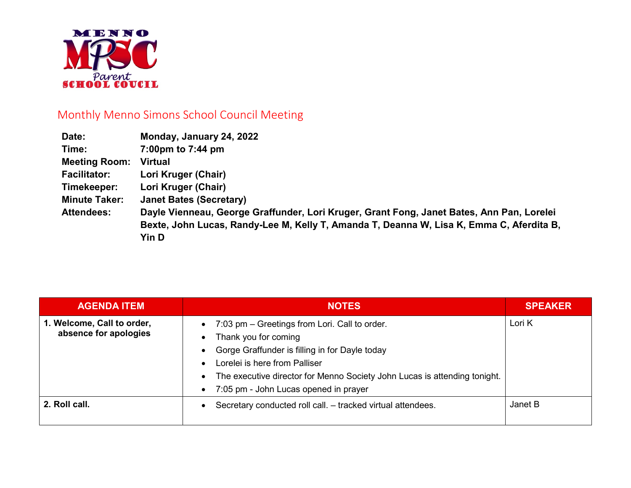

## Monthly Menno Simons School Council Meeting

| Date:                | Monday, January 24, 2022                                                                  |
|----------------------|-------------------------------------------------------------------------------------------|
| Time:                | 7:00pm to 7:44 pm                                                                         |
| <b>Meeting Room:</b> | <b>Virtual</b>                                                                            |
| <b>Facilitator:</b>  | Lori Kruger (Chair)                                                                       |
| Timekeeper:          | Lori Kruger (Chair)                                                                       |
| <b>Minute Taker:</b> | <b>Janet Bates (Secretary)</b>                                                            |
| <b>Attendees:</b>    | Dayle Vienneau, George Graffunder, Lori Kruger, Grant Fong, Janet Bates, Ann Pan, Lorelei |
|                      | Bexte, John Lucas, Randy-Lee M, Kelly T, Amanda T, Deanna W, Lisa K, Emma C, Aferdita B,  |
|                      | <b>Yin D</b>                                                                              |

| <b>AGENDA ITEM</b>                                  | <b>NOTES</b>                                                                                                                                                                                                                                                                   | <b>SPEAKER</b> |
|-----------------------------------------------------|--------------------------------------------------------------------------------------------------------------------------------------------------------------------------------------------------------------------------------------------------------------------------------|----------------|
| 1. Welcome, Call to order,<br>absence for apologies | 7:03 pm – Greetings from Lori. Call to order.<br>Thank you for coming<br>Gorge Graffunder is filling in for Dayle today<br>Lorelei is here from Palliser<br>The executive director for Menno Society John Lucas is attending tonight.<br>7:05 pm - John Lucas opened in prayer | Lori K         |
| 2. Roll call.                                       | Secretary conducted roll call. - tracked virtual attendees.                                                                                                                                                                                                                    | Janet B        |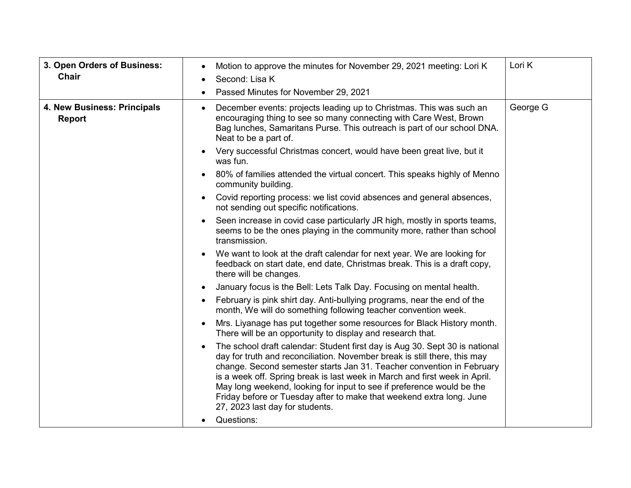| 3. Open Orders of Business:<br>Chair         | Motion to approve the minutes for November 29, 2021 meeting: Lori K<br>$\bullet$<br>Second: Lisa K<br>Passed Minutes for November 29, 2021                                                                                                                                                                                                                                                                                                                                                          | Lori K   |
|----------------------------------------------|-----------------------------------------------------------------------------------------------------------------------------------------------------------------------------------------------------------------------------------------------------------------------------------------------------------------------------------------------------------------------------------------------------------------------------------------------------------------------------------------------------|----------|
| 4. New Business: Principals<br><b>Report</b> | December events: projects leading up to Christmas. This was such an<br>encouraging thing to see so many connecting with Care West, Brown<br>Bag lunches, Samaritans Purse. This outreach is part of our school DNA.<br>Neat to be a part of.                                                                                                                                                                                                                                                        | George G |
|                                              | Very successful Christmas concert, would have been great live, but it<br>was fun.                                                                                                                                                                                                                                                                                                                                                                                                                   |          |
|                                              | 80% of families attended the virtual concert. This speaks highly of Menno<br>community building.                                                                                                                                                                                                                                                                                                                                                                                                    |          |
|                                              | Covid reporting process: we list covid absences and general absences,<br>not sending out specific notifications.                                                                                                                                                                                                                                                                                                                                                                                    |          |
|                                              | Seen increase in covid case particularly JR high, mostly in sports teams,<br>seems to be the ones playing in the community more, rather than school<br>transmission.                                                                                                                                                                                                                                                                                                                                |          |
|                                              | We want to look at the draft calendar for next year. We are looking for<br>feedback on start date, end date, Christmas break. This is a draft copy,<br>there will be changes.                                                                                                                                                                                                                                                                                                                       |          |
|                                              | January focus is the Bell: Lets Talk Day. Focusing on mental health.                                                                                                                                                                                                                                                                                                                                                                                                                                |          |
|                                              | February is pink shirt day. Anti-bullying programs, near the end of the<br>month, We will do something following teacher convention week.                                                                                                                                                                                                                                                                                                                                                           |          |
|                                              | Mrs. Liyanage has put together some resources for Black History month.<br>There will be an opportunity to display and research that.                                                                                                                                                                                                                                                                                                                                                                |          |
|                                              | The school draft calendar: Student first day is Aug 30. Sept 30 is national<br>day for truth and reconciliation. November break is still there, this may<br>change. Second semester starts Jan 31. Teacher convention in February<br>is a week off. Spring break is last week in March and first week in April.<br>May long weekend, looking for input to see if preference would be the<br>Friday before or Tuesday after to make that weekend extra long. June<br>27, 2023 last day for students. |          |
|                                              | Questions:                                                                                                                                                                                                                                                                                                                                                                                                                                                                                          |          |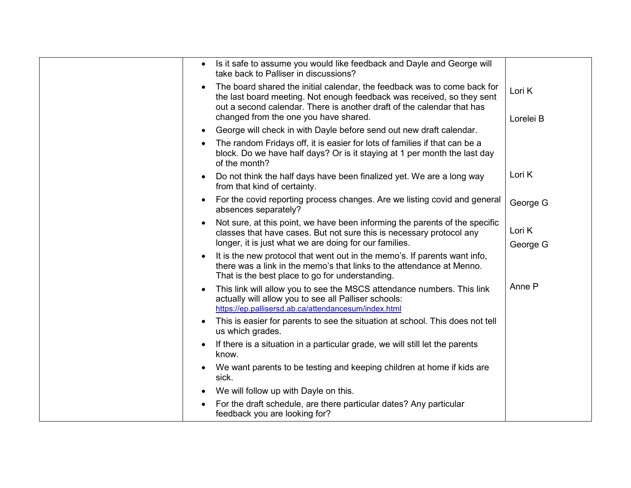| Is it safe to assume you would like feedback and Dayle and George will<br>take back to Palliser in discussions?                                                                                                                                                       |                     |
|-----------------------------------------------------------------------------------------------------------------------------------------------------------------------------------------------------------------------------------------------------------------------|---------------------|
| The board shared the initial calendar, the feedback was to come back for<br>the last board meeting. Not enough feedback was received, so they sent<br>out a second calendar. There is another draft of the calendar that has<br>changed from the one you have shared. | Lori K<br>Lorelei B |
| George will check in with Dayle before send out new draft calendar.                                                                                                                                                                                                   |                     |
| The random Fridays off, it is easier for lots of families if that can be a<br>block. Do we have half days? Or is it staying at 1 per month the last day<br>of the month?                                                                                              |                     |
| Do not think the half days have been finalized yet. We are a long way<br>from that kind of certainty.                                                                                                                                                                 | Lori K              |
| For the covid reporting process changes. Are we listing covid and general<br>absences separately?                                                                                                                                                                     | George G            |
| Not sure, at this point, we have been informing the parents of the specific<br>classes that have cases. But not sure this is necessary protocol any<br>longer, it is just what we are doing for our families.                                                         | Lori K<br>George G  |
| It is the new protocol that went out in the memo's. If parents want info,<br>there was a link in the memo's that links to the attendance at Menno.<br>That is the best place to go for understanding.                                                                 |                     |
| This link will allow you to see the MSCS attendance numbers. This link<br>actually will allow you to see all Palliser schools:<br>https://ep.pallisersd.ab.ca/attendancesum/index.html                                                                                | Anne P              |
| This is easier for parents to see the situation at school. This does not tell<br>us which grades.                                                                                                                                                                     |                     |
| If there is a situation in a particular grade, we will still let the parents<br>know.                                                                                                                                                                                 |                     |
| We want parents to be testing and keeping children at home if kids are<br>sick.                                                                                                                                                                                       |                     |
| We will follow up with Dayle on this.                                                                                                                                                                                                                                 |                     |
| For the draft schedule, are there particular dates? Any particular<br>feedback you are looking for?                                                                                                                                                                   |                     |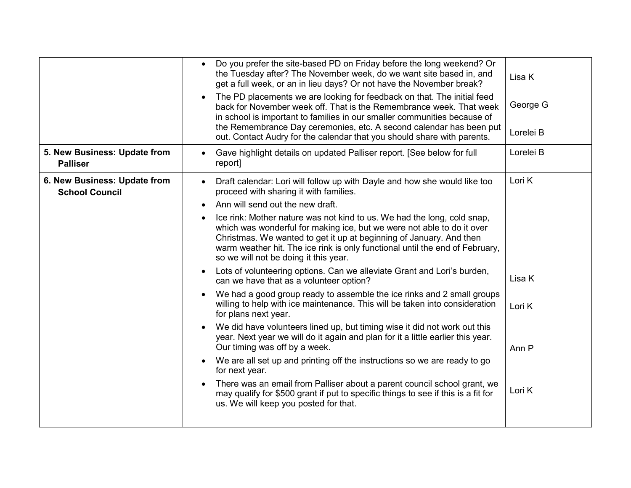|                                                       | Do you prefer the site-based PD on Friday before the long weekend? Or<br>$\bullet$<br>the Tuesday after? The November week, do we want site based in, and<br>get a full week, or an in lieu days? Or not have the November break?<br>The PD placements we are looking for feedback on that. The initial feed<br>$\bullet$<br>back for November week off. That is the Remembrance week. That week<br>in school is important to families in our smaller communities because of<br>the Remembrance Day ceremonies, etc. A second calendar has been put<br>out. Contact Audry for the calendar that you should share with parents.                                                                                                                                                                                                                                                                                                                                                                                                                                                                                                                                                                                                                                                                                                                                                                                                        | Lisa K<br>George G<br>Lorelei B               |
|-------------------------------------------------------|---------------------------------------------------------------------------------------------------------------------------------------------------------------------------------------------------------------------------------------------------------------------------------------------------------------------------------------------------------------------------------------------------------------------------------------------------------------------------------------------------------------------------------------------------------------------------------------------------------------------------------------------------------------------------------------------------------------------------------------------------------------------------------------------------------------------------------------------------------------------------------------------------------------------------------------------------------------------------------------------------------------------------------------------------------------------------------------------------------------------------------------------------------------------------------------------------------------------------------------------------------------------------------------------------------------------------------------------------------------------------------------------------------------------------------------|-----------------------------------------------|
| 5. New Business: Update from<br><b>Palliser</b>       | Gave highlight details on updated Palliser report. [See below for full<br>$\bullet$<br>report]                                                                                                                                                                                                                                                                                                                                                                                                                                                                                                                                                                                                                                                                                                                                                                                                                                                                                                                                                                                                                                                                                                                                                                                                                                                                                                                                        | Lorelei B                                     |
| 6. New Business: Update from<br><b>School Council</b> | Draft calendar: Lori will follow up with Dayle and how she would like too<br>$\bullet$<br>proceed with sharing it with families.<br>Ann will send out the new draft.<br>$\bullet$<br>Ice rink: Mother nature was not kind to us. We had the long, cold snap,<br>$\bullet$<br>which was wonderful for making ice, but we were not able to do it over<br>Christmas. We wanted to get it up at beginning of January. And then<br>warm weather hit. The ice rink is only functional until the end of February,<br>so we will not be doing it this year.<br>Lots of volunteering options. Can we alleviate Grant and Lori's burden,<br>$\bullet$<br>can we have that as a volunteer option?<br>We had a good group ready to assemble the ice rinks and 2 small groups<br>$\bullet$<br>willing to help with ice maintenance. This will be taken into consideration<br>for plans next year.<br>We did have volunteers lined up, but timing wise it did not work out this<br>$\bullet$<br>year. Next year we will do it again and plan for it a little earlier this year.<br>Our timing was off by a week.<br>We are all set up and printing off the instructions so we are ready to go<br>$\bullet$<br>for next year.<br>There was an email from Palliser about a parent council school grant, we<br>$\bullet$<br>may qualify for \$500 grant if put to specific things to see if this is a fit for<br>us. We will keep you posted for that. | Lori K<br>Lisa K<br>Lori K<br>Ann P<br>Lori K |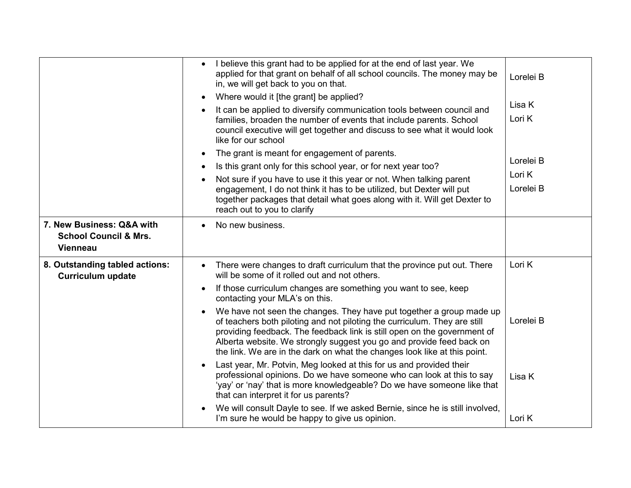|                                                            | I believe this grant had to be applied for at the end of last year. We<br>$\bullet$<br>applied for that grant on behalf of all school councils. The money may be<br>in, we will get back to you on that.                                                                                                                                                                                        | Lorelei B |
|------------------------------------------------------------|-------------------------------------------------------------------------------------------------------------------------------------------------------------------------------------------------------------------------------------------------------------------------------------------------------------------------------------------------------------------------------------------------|-----------|
|                                                            | Where would it [the grant] be applied?<br>$\bullet$                                                                                                                                                                                                                                                                                                                                             |           |
|                                                            | It can be applied to diversify communication tools between council and                                                                                                                                                                                                                                                                                                                          | Lisa K    |
|                                                            | families, broaden the number of events that include parents. School<br>council executive will get together and discuss to see what it would look<br>like for our school                                                                                                                                                                                                                         | Lori K    |
|                                                            | The grant is meant for engagement of parents.<br>$\bullet$                                                                                                                                                                                                                                                                                                                                      |           |
|                                                            | Is this grant only for this school year, or for next year too?<br>$\bullet$                                                                                                                                                                                                                                                                                                                     | Lorelei B |
|                                                            | Not sure if you have to use it this year or not. When talking parent                                                                                                                                                                                                                                                                                                                            | Lori K    |
|                                                            | engagement, I do not think it has to be utilized, but Dexter will put<br>together packages that detail what goes along with it. Will get Dexter to<br>reach out to you to clarify                                                                                                                                                                                                               | Lorelei B |
| 7. New Business: Q&A with                                  | No new business.                                                                                                                                                                                                                                                                                                                                                                                |           |
| <b>School Council &amp; Mrs.</b>                           |                                                                                                                                                                                                                                                                                                                                                                                                 |           |
| <b>Vienneau</b>                                            |                                                                                                                                                                                                                                                                                                                                                                                                 |           |
| 8. Outstanding tabled actions:<br><b>Curriculum update</b> | There were changes to draft curriculum that the province put out. There<br>will be some of it rolled out and not others.                                                                                                                                                                                                                                                                        | Lori K    |
|                                                            | If those curriculum changes are something you want to see, keep<br>$\bullet$<br>contacting your MLA's on this.                                                                                                                                                                                                                                                                                  |           |
|                                                            | We have not seen the changes. They have put together a group made up<br>$\bullet$<br>of teachers both piloting and not piloting the curriculum. They are still<br>providing feedback. The feedback link is still open on the government of<br>Alberta website. We strongly suggest you go and provide feed back on<br>the link. We are in the dark on what the changes look like at this point. | Lorelei B |
|                                                            | Last year, Mr. Potvin, Meg looked at this for us and provided their<br>$\bullet$<br>professional opinions. Do we have someone who can look at this to say<br>'yay' or 'nay' that is more knowledgeable? Do we have someone like that<br>that can interpret it for us parents?                                                                                                                   | Lisa K    |
|                                                            | We will consult Dayle to see. If we asked Bernie, since he is still involved,<br>I'm sure he would be happy to give us opinion.                                                                                                                                                                                                                                                                 | Lori K    |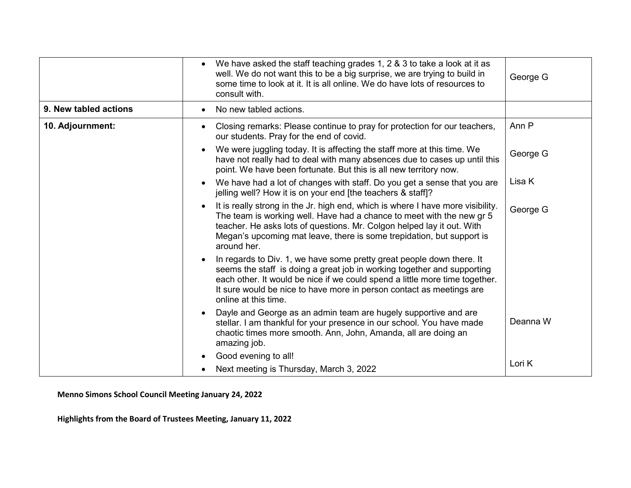|                       | We have asked the staff teaching grades 1, 2 & 3 to take a look at it as<br>well. We do not want this to be a big surprise, we are trying to build in<br>some time to look at it. It is all online. We do have lots of resources to<br>consult with.                                                                            | George G |
|-----------------------|---------------------------------------------------------------------------------------------------------------------------------------------------------------------------------------------------------------------------------------------------------------------------------------------------------------------------------|----------|
| 9. New tabled actions | No new tabled actions.                                                                                                                                                                                                                                                                                                          |          |
| 10. Adjournment:      | Closing remarks: Please continue to pray for protection for our teachers,<br>our students. Pray for the end of covid.                                                                                                                                                                                                           | Ann P    |
|                       | We were juggling today. It is affecting the staff more at this time. We<br>have not really had to deal with many absences due to cases up until this<br>point. We have been fortunate. But this is all new territory now.                                                                                                       | George G |
|                       | We have had a lot of changes with staff. Do you get a sense that you are<br>jelling well? How it is on your end [the teachers & staff]?                                                                                                                                                                                         | Lisa K   |
|                       | It is really strong in the Jr. high end, which is where I have more visibility.<br>The team is working well. Have had a chance to meet with the new gr 5<br>teacher. He asks lots of questions. Mr. Colgon helped lay it out. With<br>Megan's upcoming mat leave, there is some trepidation, but support is<br>around her.      | George G |
|                       | In regards to Div. 1, we have some pretty great people down there. It<br>seems the staff is doing a great job in working together and supporting<br>each other. It would be nice if we could spend a little more time together.<br>It sure would be nice to have more in person contact as meetings are<br>online at this time. |          |
|                       | Dayle and George as an admin team are hugely supportive and are<br>stellar. I am thankful for your presence in our school. You have made<br>chaotic times more smooth. Ann, John, Amanda, all are doing an<br>amazing job.                                                                                                      | Deanna W |
|                       | Good evening to all!                                                                                                                                                                                                                                                                                                            | Lori K   |
|                       | Next meeting is Thursday, March 3, 2022                                                                                                                                                                                                                                                                                         |          |

**Menno Simons School Council Meeting January 24, 2022**

**Highlights from the Board of Trustees Meeting, January 11, 2022**